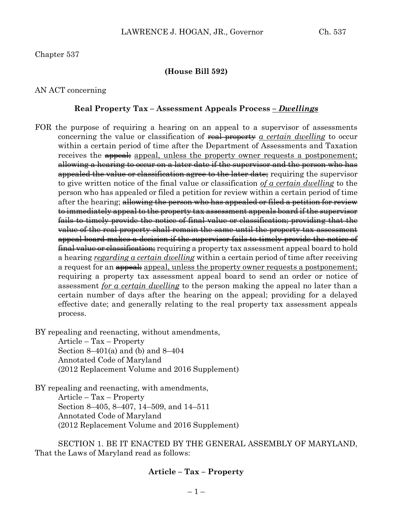Chapter 537

#### **(House Bill 592)**

AN ACT concerning

#### **Real Property Tax – Assessment Appeals Process** *– Dwellings*

FOR the purpose of requiring a hearing on an appeal to a supervisor of assessments concerning the value or classification of real property *a certain dwelling* to occur within a certain period of time after the Department of Assessments and Taxation receives the **appeal**; appeal, unless the property owner requests a postponement; allowing a hearing to occur on a later date if the supervisor and the person who has appealed the value or classification agree to the later date; requiring the supervisor to give written notice of the final value or classification *of a certain dwelling* to the person who has appealed or filed a petition for review within a certain period of time after the hearing; allowing the person who has appealed or filed a petition for review to immediately appeal to the property tax assessment appeals board if the supervisor fails to timely provide the notice of final value or classification; providing that the value of the real property shall remain the same until the property tax assessment appeal board makes a decision if the supervisor fails to timely provide the notice of final value or classification; requiring a property tax assessment appeal board to hold a hearing *regarding a certain dwelling* within a certain period of time after receiving a request for an  $\frac{appeak}{appeak}$  appeal, unless the property owner requests a postponement; requiring a property tax assessment appeal board to send an order or notice of assessment *for a certain dwelling* to the person making the appeal no later than a certain number of days after the hearing on the appeal; providing for a delayed effective date; and generally relating to the real property tax assessment appeals process.

BY repealing and reenacting, without amendments,

Article – Tax – Property Section  $8-401(a)$  and (b) and  $8-404$ Annotated Code of Maryland (2012 Replacement Volume and 2016 Supplement)

BY repealing and reenacting, with amendments, Article – Tax – Property Section 8–405, 8–407, 14–509, and 14–511 Annotated Code of Maryland (2012 Replacement Volume and 2016 Supplement)

SECTION 1. BE IT ENACTED BY THE GENERAL ASSEMBLY OF MARYLAND, That the Laws of Maryland read as follows:

#### **Article – Tax – Property**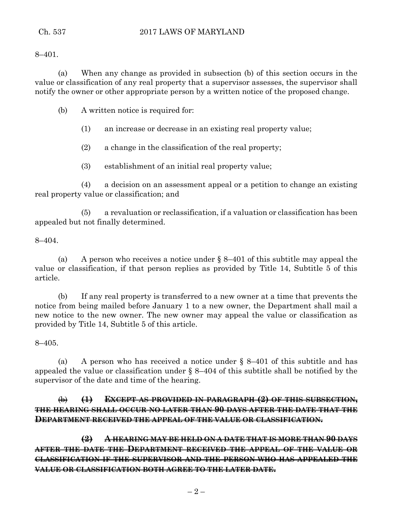## Ch. 537 2017 LAWS OF MARYLAND

8–401.

(a) When any change as provided in subsection (b) of this section occurs in the value or classification of any real property that a supervisor assesses, the supervisor shall notify the owner or other appropriate person by a written notice of the proposed change.

(b) A written notice is required for:

(1) an increase or decrease in an existing real property value;

(2) a change in the classification of the real property;

(3) establishment of an initial real property value;

(4) a decision on an assessment appeal or a petition to change an existing real property value or classification; and

(5) a revaluation or reclassification, if a valuation or classification has been appealed but not finally determined.

#### 8–404.

(a) A person who receives a notice under  $\S$  8–401 of this subtitle may appeal the value or classification, if that person replies as provided by Title 14, Subtitle 5 of this article.

(b) If any real property is transferred to a new owner at a time that prevents the notice from being mailed before January 1 to a new owner, the Department shall mail a new notice to the new owner. The new owner may appeal the value or classification as provided by Title 14, Subtitle 5 of this article.

8–405.

(a) A person who has received a notice under  $\S$  8–401 of this subtitle and has appealed the value or classification under  $\S$  8–404 of this subtitle shall be notified by the supervisor of the date and time of the hearing.

# (b) **(1) EXCEPT AS PROVIDED IN PARAGRAPH (2) OF THIS SUBSECTION, THE HEARING SHALL OCCUR NO LATER THAN 90 DAYS AFTER THE DATE THAT THE DEPARTMENT RECEIVED THE APPEAL OF THE VALUE OR CLASSIFICATION.**

**(2) A HEARING MAY BE HELD ON A DATE THAT IS MORE THAN 90 DAYS AFTER THE DATE THE DEPARTMENT RECEIVED THE APPEAL OF THE VALUE OR CLASSIFICATION IF THE SUPERVISOR AND THE PERSON WHO HAS APPEALED THE VALUE OR CLASSIFICATION BOTH AGREE TO THE LATER DATE.**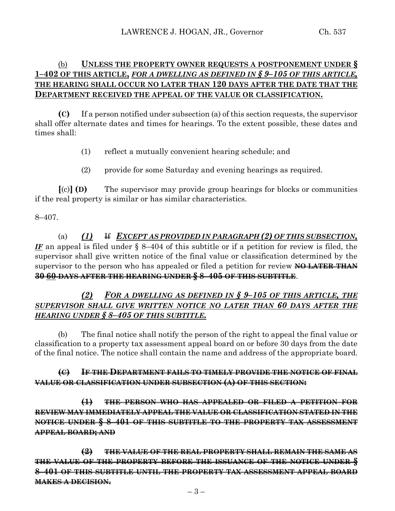# (b) **UNLESS THE PROPERTY OWNER REQUESTS A POSTPONEMENT UNDER § 1–402 OF THIS ARTICLE,** *FOR A DWELLING AS DEFINED IN § 9–105 OF THIS ARTICLE,* **THE HEARING SHALL OCCUR NO LATER THAN 120 DAYS AFTER THE DATE THAT THE DEPARTMENT RECEIVED THE APPEAL OF THE VALUE OR CLASSIFICATION.**

**(C)** If a person notified under subsection (a) of this section requests, the supervisor shall offer alternate dates and times for hearings. To the extent possible, these dates and times shall:

- (1) reflect a mutually convenient hearing schedule; and
- (2) provide for some Saturday and evening hearings as required.

**[**(c)**] (D)** The supervisor may provide group hearings for blocks or communities if the real property is similar or has similar characteristics.

# 8–407.

(a) *(1)* If *EXCEPT AS PROVIDED IN PARAGRAPH (2) OF THIS SUBSECTION, IF* an appeal is filed under § 8–404 of this subtitle or if a petition for review is filed, the supervisor shall give written notice of the final value or classification determined by the supervisor to the person who has appealed or filed a petition for review **NO LATER THAN 30 60 DAYS AFTER THE HEARING UNDER § 8–405 OF THIS SUBTITLE**.

# *(2) FOR A DWELLING AS DEFINED IN § 9–105 OF THIS ARTICLE, THE SUPERVISOR SHALL GIVE WRITTEN NOTICE NO LATER THAN 60 DAYS AFTER THE HEARING UNDER § 8–405 OF THIS SUBTITLE.*

(b) The final notice shall notify the person of the right to appeal the final value or classification to a property tax assessment appeal board on or before 30 days from the date of the final notice. The notice shall contain the name and address of the appropriate board.

# **(C) IF THE DEPARTMENT FAILS TO TIMELY PROVIDE THE NOTICE OF FINAL VALUE OR CLASSIFICATION UNDER SUBSECTION (A) OF THIS SECTION:**

**(1) THE PERSON WHO HAS APPEALED OR FILED A PETITION FOR REVIEW MAY IMMEDIATELY APPEAL THE VALUE OR CLASSIFICATION STATED IN THE NOTICE UNDER § 8–401 OF THIS SUBTITLE TO THE PROPERTY TAX ASSESSMENT APPEAL BOARD; AND**

**(2) THE VALUE OF THE REAL PROPERTY SHALL REMAIN THE SAME AS THE VALUE OF THE PROPERTY BEFORE THE ISSUANCE OF THE NOTICE UNDER § 8–401 OF THIS SUBTITLE UNTIL THE PROPERTY TAX ASSESSMENT APPEAL BOARD MAKES A DECISION.**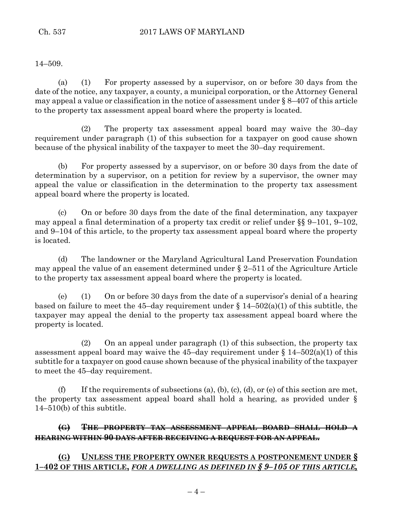14–509.

(a) (1) For property assessed by a supervisor, on or before 30 days from the date of the notice, any taxpayer, a county, a municipal corporation, or the Attorney General may appeal a value or classification in the notice of assessment under  $\S 8-407$  of this article to the property tax assessment appeal board where the property is located.

(2) The property tax assessment appeal board may waive the 30–day requirement under paragraph (1) of this subsection for a taxpayer on good cause shown because of the physical inability of the taxpayer to meet the 30–day requirement.

(b) For property assessed by a supervisor, on or before 30 days from the date of determination by a supervisor, on a petition for review by a supervisor, the owner may appeal the value or classification in the determination to the property tax assessment appeal board where the property is located.

(c) On or before 30 days from the date of the final determination, any taxpayer may appeal a final determination of a property tax credit or relief under §§ 9–101, 9–102, and 9–104 of this article, to the property tax assessment appeal board where the property is located.

(d) The landowner or the Maryland Agricultural Land Preservation Foundation may appeal the value of an easement determined under § 2–511 of the Agriculture Article to the property tax assessment appeal board where the property is located.

(e) (1) On or before 30 days from the date of a supervisor's denial of a hearing based on failure to meet the 45–day requirement under  $\S 14-502(a)(1)$  of this subtitle, the taxpayer may appeal the denial to the property tax assessment appeal board where the property is located.

(2) On an appeal under paragraph (1) of this subsection, the property tax assessment appeal board may waive the 45-day requirement under  $\S 14-502(a)(1)$  of this subtitle for a taxpayer on good cause shown because of the physical inability of the taxpayer to meet the 45–day requirement.

(f) If the requirements of subsections (a), (b), (c), (d), or (e) of this section are met, the property tax assessment appeal board shall hold a hearing, as provided under § 14–510(b) of this subtitle.

**(G) THE PROPERTY TAX ASSESSMENT APPEAL BOARD SHALL HOLD A HEARING WITHIN 90 DAYS AFTER RECEIVING A REQUEST FOR AN APPEAL.**

**(G) UNLESS THE PROPERTY OWNER REQUESTS A POSTPONEMENT UNDER § 1–402 OF THIS ARTICLE,** *FOR A DWELLING AS DEFINED IN § 9–105 OF THIS ARTICLE,*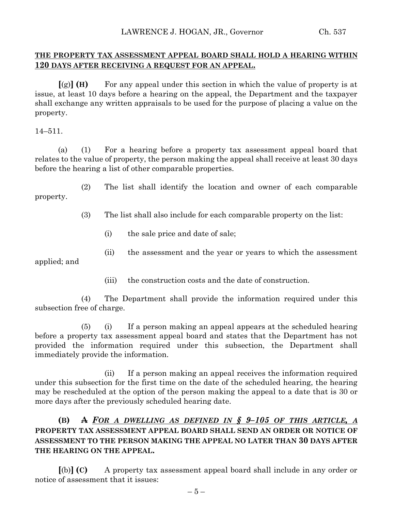#### **THE PROPERTY TAX ASSESSMENT APPEAL BOARD SHALL HOLD A HEARING WITHIN 120 DAYS AFTER RECEIVING A REQUEST FOR AN APPEAL.**

**[**(g)**] (H)** For any appeal under this section in which the value of property is at issue, at least 10 days before a hearing on the appeal, the Department and the taxpayer shall exchange any written appraisals to be used for the purpose of placing a value on the property.

14–511.

(a) (1) For a hearing before a property tax assessment appeal board that relates to the value of property, the person making the appeal shall receive at least 30 days before the hearing a list of other comparable properties.

(2) The list shall identify the location and owner of each comparable property.

(3) The list shall also include for each comparable property on the list:

- (i) the sale price and date of sale;
- (ii) the assessment and the year or years to which the assessment

applied; and

(iii) the construction costs and the date of construction.

(4) The Department shall provide the information required under this subsection free of charge.

(5) (i) If a person making an appeal appears at the scheduled hearing before a property tax assessment appeal board and states that the Department has not provided the information required under this subsection, the Department shall immediately provide the information.

(ii) If a person making an appeal receives the information required under this subsection for the first time on the date of the scheduled hearing, the hearing may be rescheduled at the option of the person making the appeal to a date that is 30 or more days after the previously scheduled hearing date.

# **(B) A** *FOR A DWELLING AS DEFINED IN § 9–105 OF THIS ARTICLE, A* **PROPERTY TAX ASSESSMENT APPEAL BOARD SHALL SEND AN ORDER OR NOTICE OF ASSESSMENT TO THE PERSON MAKING THE APPEAL NO LATER THAN 30 DAYS AFTER THE HEARING ON THE APPEAL.**

**[**(b)**] (C)** A property tax assessment appeal board shall include in any order or notice of assessment that it issues: